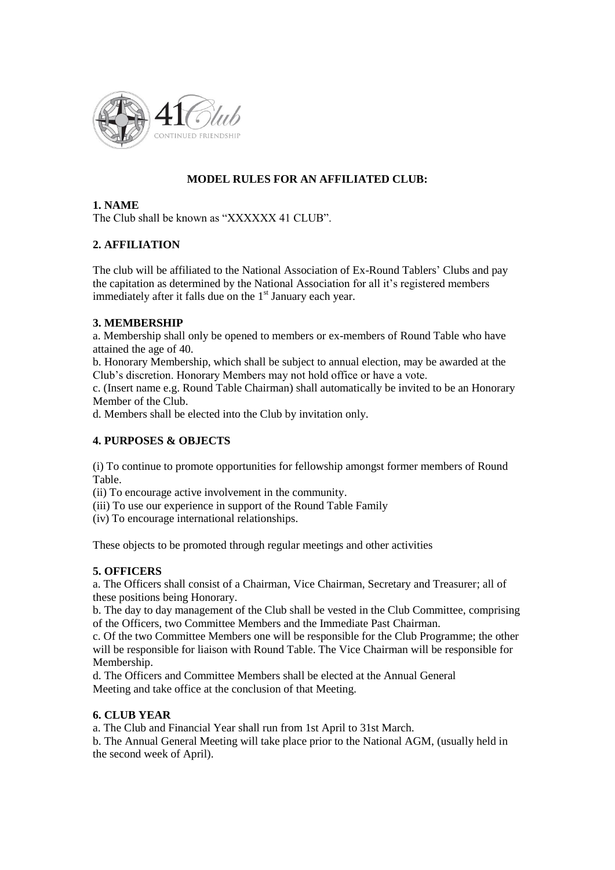

# **MODEL RULES FOR AN AFFILIATED CLUB:**

#### **1. NAME**

The Club shall be known as "XXXXXX 41 CLUB".

# **2. AFFILIATION**

The club will be affiliated to the National Association of Ex-Round Tablers' Clubs and pay the capitation as determined by the National Association for all it"s registered members immediately after it falls due on the  $1<sup>st</sup>$  January each year.

#### **3. MEMBERSHIP**

a. Membership shall only be opened to members or ex-members of Round Table who have attained the age of 40.

b. Honorary Membership, which shall be subject to annual election, may be awarded at the Club"s discretion. Honorary Members may not hold office or have a vote.

c. (Insert name e.g. Round Table Chairman) shall automatically be invited to be an Honorary Member of the Club.

d. Members shall be elected into the Club by invitation only.

# **4. PURPOSES & OBJECTS**

(i) To continue to promote opportunities for fellowship amongst former members of Round Table.

(ii) To encourage active involvement in the community.

(iii) To use our experience in support of the Round Table Family

(iv) To encourage international relationships.

These objects to be promoted through regular meetings and other activities

# **5. OFFICERS**

a. The Officers shall consist of a Chairman, Vice Chairman, Secretary and Treasurer; all of these positions being Honorary.

b. The day to day management of the Club shall be vested in the Club Committee, comprising of the Officers, two Committee Members and the Immediate Past Chairman.

c. Of the two Committee Members one will be responsible for the Club Programme; the other will be responsible for liaison with Round Table. The Vice Chairman will be responsible for Membership.

d. The Officers and Committee Members shall be elected at the Annual General Meeting and take office at the conclusion of that Meeting.

# **6. CLUB YEAR**

a. The Club and Financial Year shall run from 1st April to 31st March.

b. The Annual General Meeting will take place prior to the National AGM, (usually held in the second week of April).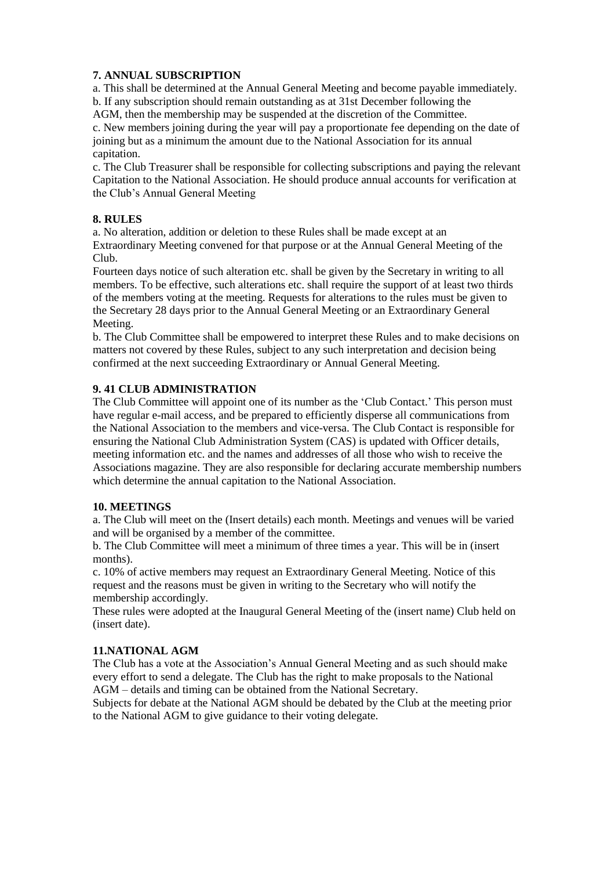# **7. ANNUAL SUBSCRIPTION**

a. This shall be determined at the Annual General Meeting and become payable immediately. b. If any subscription should remain outstanding as at 31st December following the

AGM, then the membership may be suspended at the discretion of the Committee.

c. New members joining during the year will pay a proportionate fee depending on the date of joining but as a minimum the amount due to the National Association for its annual capitation.

c. The Club Treasurer shall be responsible for collecting subscriptions and paying the relevant Capitation to the National Association. He should produce annual accounts for verification at the Club"s Annual General Meeting

#### **8. RULES**

a. No alteration, addition or deletion to these Rules shall be made except at an Extraordinary Meeting convened for that purpose or at the Annual General Meeting of the Club.

Fourteen days notice of such alteration etc. shall be given by the Secretary in writing to all members. To be effective, such alterations etc. shall require the support of at least two thirds of the members voting at the meeting. Requests for alterations to the rules must be given to the Secretary 28 days prior to the Annual General Meeting or an Extraordinary General Meeting.

b. The Club Committee shall be empowered to interpret these Rules and to make decisions on matters not covered by these Rules, subject to any such interpretation and decision being confirmed at the next succeeding Extraordinary or Annual General Meeting.

# **9. 41 CLUB ADMINISTRATION**

The Club Committee will appoint one of its number as the "Club Contact." This person must have regular e-mail access, and be prepared to efficiently disperse all communications from the National Association to the members and vice-versa. The Club Contact is responsible for ensuring the National Club Administration System (CAS) is updated with Officer details, meeting information etc. and the names and addresses of all those who wish to receive the Associations magazine. They are also responsible for declaring accurate membership numbers which determine the annual capitation to the National Association.

#### **10. MEETINGS**

a. The Club will meet on the (Insert details) each month. Meetings and venues will be varied and will be organised by a member of the committee.

b. The Club Committee will meet a minimum of three times a year. This will be in (insert months).

c. 10% of active members may request an Extraordinary General Meeting. Notice of this request and the reasons must be given in writing to the Secretary who will notify the membership accordingly.

These rules were adopted at the Inaugural General Meeting of the (insert name) Club held on (insert date).

#### **11.NATIONAL AGM**

The Club has a vote at the Association"s Annual General Meeting and as such should make every effort to send a delegate. The Club has the right to make proposals to the National AGM – details and timing can be obtained from the National Secretary.

Subjects for debate at the National AGM should be debated by the Club at the meeting prior to the National AGM to give guidance to their voting delegate.